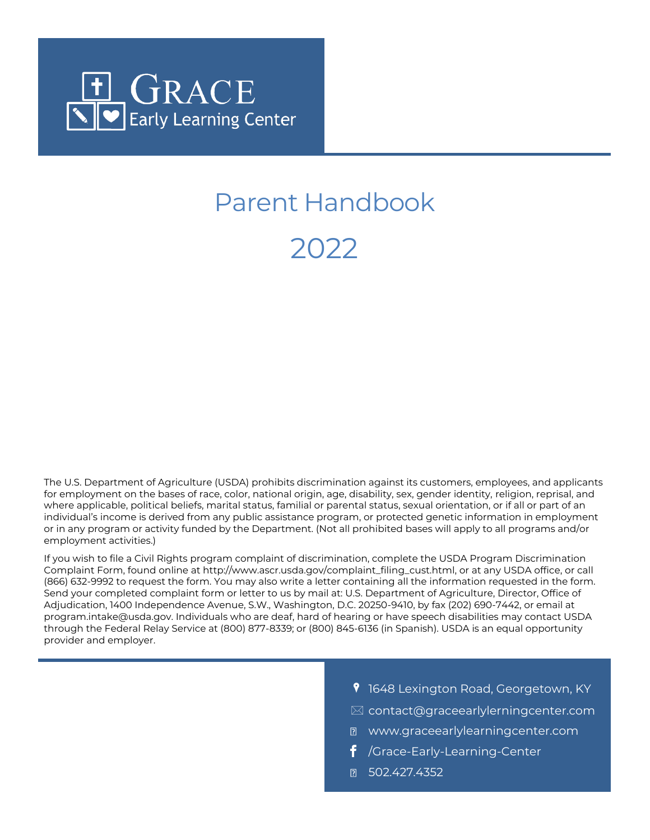

# Parent Handbook

2022

The U.S. Department of Agriculture (USDA) prohibits discrimination against its customers, employees, and applicants for employment on the bases of race, color, national origin, age, disability, sex, gender identity, religion, reprisal, and where applicable, political beliefs, marital status, familial or parental status, sexual orientation, or if all or part of an individual's income is derived from any public assistance program, or protected genetic information in employment or in any program or activity funded by the Department. (Not all prohibited bases will apply to all programs and/or employment activities.)

If you wish to file a Civil Rights program complaint of discrimination, complete the USDA Program Discrimination Complaint Form, found online at http://www.ascr.usda.gov/complaint\_filing\_cust.html, or at any USDA office, or call (866) 632-9992 to request the form. You may also write a letter containing all the information requested in the form. Send your completed complaint form or letter to us by mail at: U.S. Department of Agriculture, Director, Office of Adjudication, 1400 Independence Avenue, S.W., Washington, D.C. 20250-9410, by fax (202) 690-7442, or email at program.intake@usda.gov. Individuals who are deaf, hard of hearing or have speech disabilities may contact USDA through the Federal Relay Service at (800) 877-8339; or (800) 845-6136 (in Spanish). USDA is an equal opportunity provider and employer.

- **9** 1648 Lexington Road, Georgetown, KY
- $\boxtimes$  contact@graceearlylerningcenter.com
- www.graceearlylearningcenter.com
- /Grace-Early-Learning-Center
- 0 502.427.4352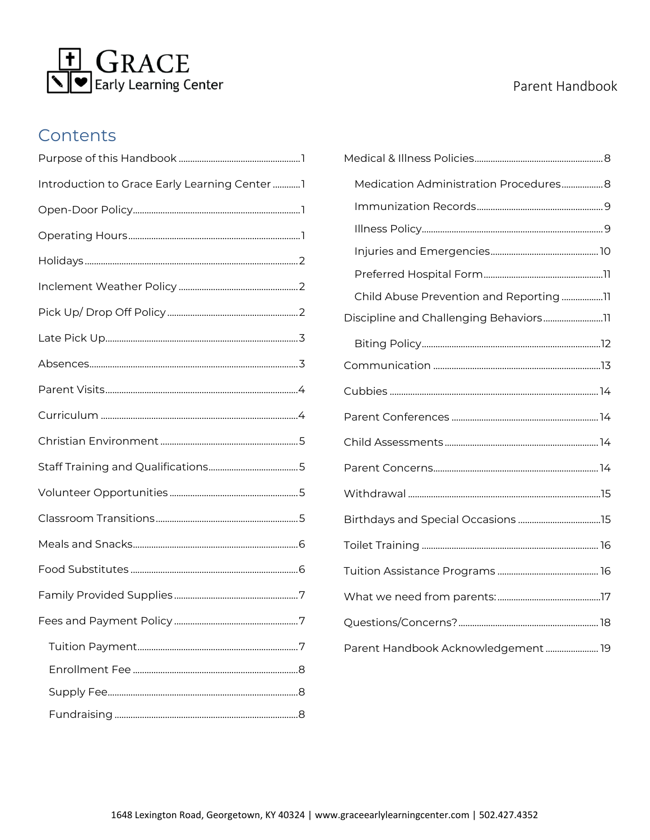

#### Parent Handbook

#### Contents

| Introduction to Grace Early Learning Center  1 |
|------------------------------------------------|
|                                                |
|                                                |
|                                                |
|                                                |
|                                                |
|                                                |
|                                                |
|                                                |
|                                                |
|                                                |
|                                                |
|                                                |
|                                                |
|                                                |
|                                                |
|                                                |
|                                                |
|                                                |
|                                                |
|                                                |
|                                                |

| Medication Administration Procedures 8  |  |
|-----------------------------------------|--|
|                                         |  |
|                                         |  |
|                                         |  |
|                                         |  |
| Child Abuse Prevention and Reporting 11 |  |
| Discipline and Challenging Behaviors11  |  |
|                                         |  |
|                                         |  |
|                                         |  |
|                                         |  |
|                                         |  |
|                                         |  |
|                                         |  |
|                                         |  |
|                                         |  |
|                                         |  |
|                                         |  |
|                                         |  |
| Parent Handbook Acknowledgement  19     |  |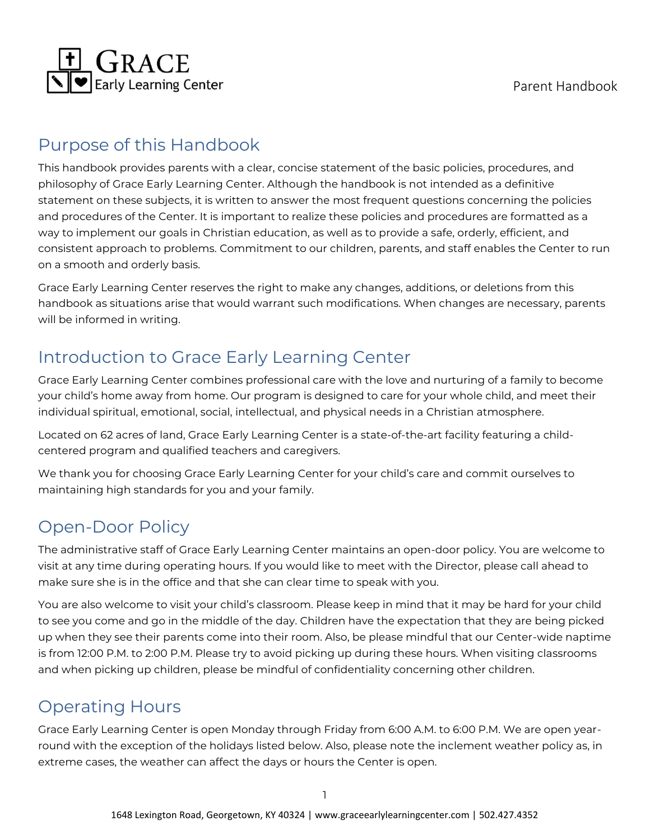

### <span id="page-2-0"></span>Purpose of this Handbook

This handbook provides parents with a clear, concise statement of the basic policies, procedures, and philosophy of Grace Early Learning Center. Although the handbook is not intended as a definitive statement on these subjects, it is written to answer the most frequent questions concerning the policies and procedures of the Center. It is important to realize these policies and procedures are formatted as a way to implement our goals in Christian education, as well as to provide a safe, orderly, efficient, and consistent approach to problems. Commitment to our children, parents, and staff enables the Center to run on a smooth and orderly basis.

Grace Early Learning Center reserves the right to make any changes, additions, or deletions from this handbook as situations arise that would warrant such modifications. When changes are necessary, parents will be informed in writing.

### <span id="page-2-1"></span>Introduction to Grace Early Learning Center

Grace Early Learning Center combines professional care with the love and nurturing of a family to become your child's home away from home. Our program is designed to care for your whole child, and meet their individual spiritual, emotional, social, intellectual, and physical needs in a Christian atmosphere.

Located on 62 acres of land, Grace Early Learning Center is a state-of-the-art facility featuring a childcentered program and qualified teachers and caregivers.

We thank you for choosing Grace Early Learning Center for your child's care and commit ourselves to maintaining high standards for you and your family.

## <span id="page-2-2"></span>Open-Door Policy

The administrative staff of Grace Early Learning Center maintains an open-door policy. You are welcome to visit at any time during operating hours. If you would like to meet with the Director, please call ahead to make sure she is in the office and that she can clear time to speak with you.

You are also welcome to visit your child's classroom. Please keep in mind that it may be hard for your child to see you come and go in the middle of the day. Children have the expectation that they are being picked up when they see their parents come into their room. Also, be please mindful that our Center-wide naptime is from 12:00 P.M. to 2:00 P.M. Please try to avoid picking up during these hours. When visiting classrooms and when picking up children, please be mindful of confidentiality concerning other children.

# <span id="page-2-3"></span>Operating Hours

Grace Early Learning Center is open Monday through Friday from 6:00 A.M. to 6:00 P.M. We are open yearround with the exception of the holidays listed below. Also, please note the inclement weather policy as, in extreme cases, the weather can affect the days or hours the Center is open.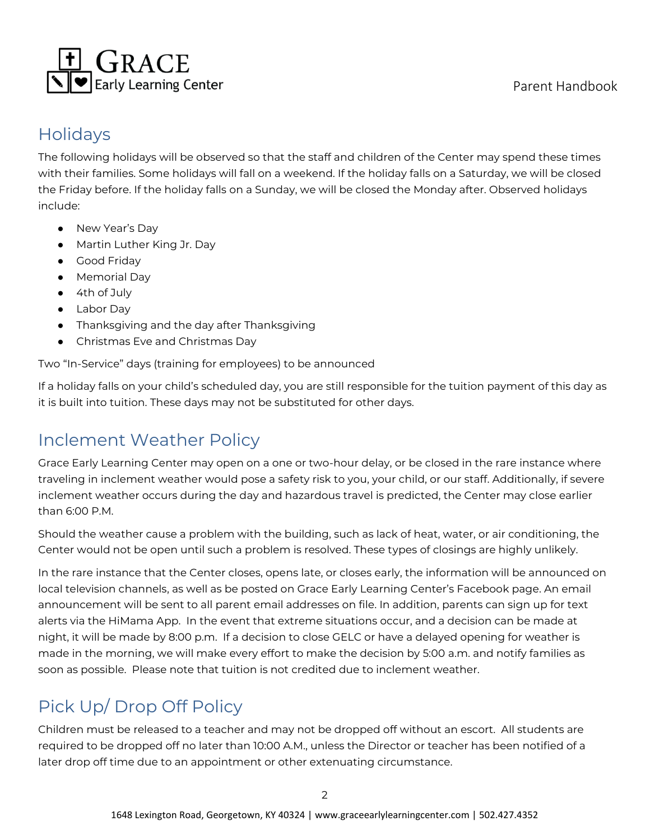

#### <span id="page-3-0"></span>Holidays

The following holidays will be observed so that the staff and children of the Center may spend these times with their families. Some holidays will fall on a weekend. If the holiday falls on a Saturday, we will be closed the Friday before. If the holiday falls on a Sunday, we will be closed the Monday after. Observed holidays include:

- New Year's Day
- Martin Luther King Jr. Day
- Good Friday
- Memorial Day
- 4th of July
- Labor Day
- Thanksgiving and the day after Thanksgiving
- Christmas Eve and Christmas Day

Two "In-Service" days (training for employees) to be announced

If a holiday falls on your child's scheduled day, you are still responsible for the tuition payment of this day as it is built into tuition. These days may not be substituted for other days.

### <span id="page-3-1"></span>Inclement Weather Policy

Grace Early Learning Center may open on a one or two-hour delay, or be closed in the rare instance where traveling in inclement weather would pose a safety risk to you, your child, or our staff. Additionally, if severe inclement weather occurs during the day and hazardous travel is predicted, the Center may close earlier than 6:00 P.M.

Should the weather cause a problem with the building, such as lack of heat, water, or air conditioning, the Center would not be open until such a problem is resolved. These types of closings are highly unlikely.

In the rare instance that the Center closes, opens late, or closes early, the information will be announced on local television channels, as well as be posted on Grace Early Learning Center's Facebook page. An email announcement will be sent to all parent email addresses on file. In addition, parents can sign up for text alerts via the HiMama App. In the event that extreme situations occur, and a decision can be made at night, it will be made by 8:00 p.m. If a decision to close GELC or have a delayed opening for weather is made in the morning, we will make every effort to make the decision by 5:00 a.m. and notify families as soon as possible. Please note that tuition is not credited due to inclement weather.

# <span id="page-3-2"></span>Pick Up/ Drop Off Policy

Children must be released to a teacher and may not be dropped off without an escort. All students are required to be dropped off no later than 10:00 A.M., unless the Director or teacher has been notified of a later drop off time due to an appointment or other extenuating circumstance.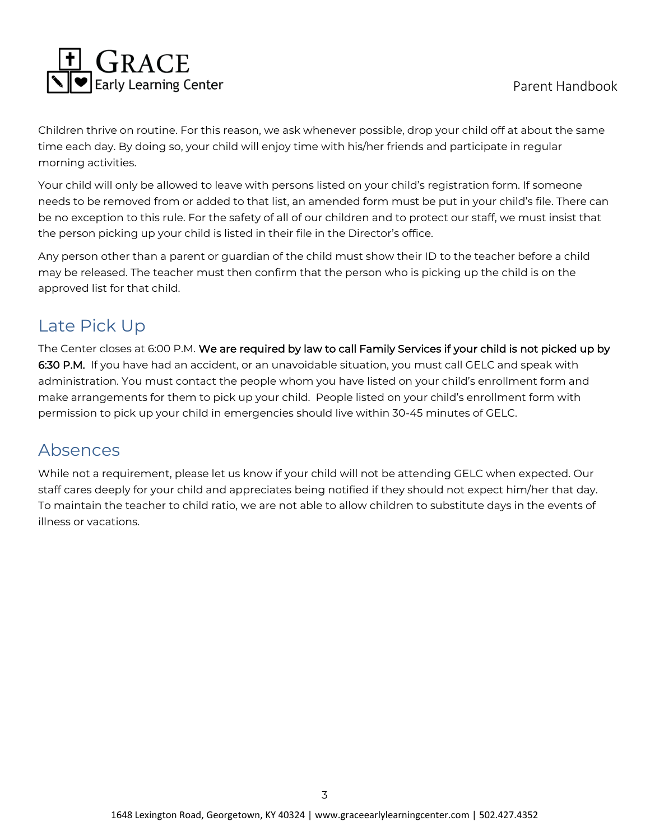Children thrive on routine. For this reason, we ask whenever possible, drop your child off at about the same time each day. By doing so, your child will enjoy time with his/her friends and participate in regular morning activities.

Your child will only be allowed to leave with persons listed on your child's registration form. If someone needs to be removed from or added to that list, an amended form must be put in your child's file. There can be no exception to this rule. For the safety of all of our children and to protect our staff, we must insist that the person picking up your child is listed in their file in the Director's office.

Any person other than a parent or guardian of the child must show their ID to the teacher before a child may be released. The teacher must then confirm that the person who is picking up the child is on the approved list for that child.

# <span id="page-4-0"></span>Late Pick Up

The Center closes at 6:00 P.M. We are required by law to call Family Services if your child is not picked up by 6:30 P.M. If you have had an accident, or an unavoidable situation, you must call GELC and speak with administration. You must contact the people whom you have listed on your child's enrollment form and make arrangements for them to pick up your child. People listed on your child's enrollment form with permission to pick up your child in emergencies should live within 30-45 minutes of GELC.

### <span id="page-4-1"></span>Absences

While not a requirement, please let us know if your child will not be attending GELC when expected. Our staff cares deeply for your child and appreciates being notified if they should not expect him/her that day. To maintain the teacher to child ratio, we are not able to allow children to substitute days in the events of illness or vacations.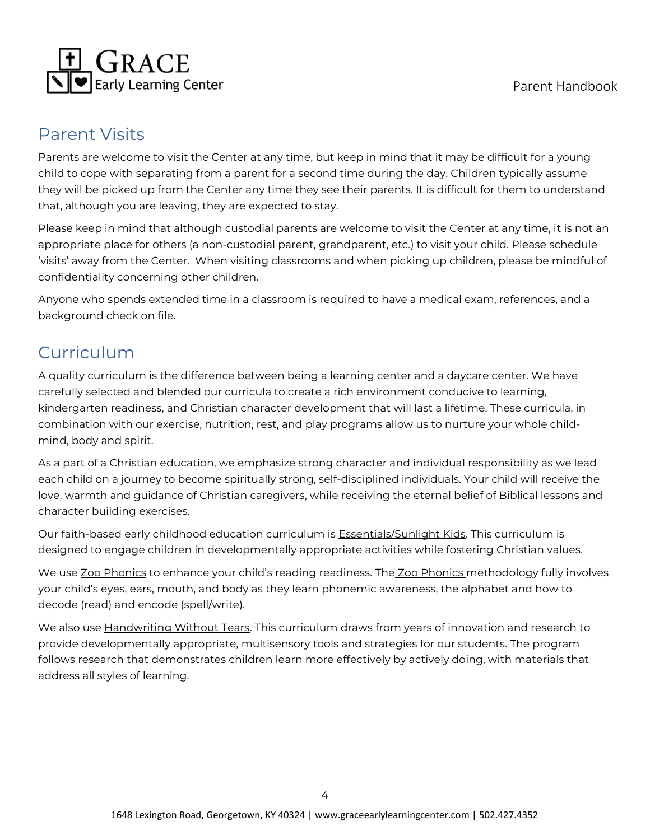

#### <span id="page-5-0"></span>Parent Visits

Parents are welcome to visit the Center at any time, but keep in mind that it may be difficult for a young child to cope with separating from a parent for a second time during the day. Children typically assume they will be picked up from the Center any time they see their parents. It is difficult for them to understand that, although you are leaving, they are expected to stay.

Please keep in mind that although custodial parents are welcome to visit the Center at any time, it is not an appropriate place for others (a non-custodial parent, grandparent, etc.) to visit your child. Please schedule 'visits' away from the Center. When visiting classrooms and when picking up children, please be mindful of confidentiality concerning other children.

Anyone who spends extended time in a classroom is required to have a medical exam, references, and a background check on file.

# <span id="page-5-1"></span>Curriculum

A quality curriculum is the difference between being a learning center and a daycare center. We have carefully selected and blended our curricula to create a rich environment conducive to learning, kindergarten readiness, and Christian character development that will last a lifetime. These curricula, in combination with our exercise, nutrition, rest, and play programs allow us to nurture your whole childmind, body and spirit.

As a part of a Christian education, we emphasize strong character and individual responsibility as we lead each child on a journey to become spiritually strong, self-disciplined individuals. Your child will receive the love, warmth and guidance of Christian caregivers, while receiving the eternal belief of Biblical lessons and character building exercises.

Our faith-based early childhood education curriculum is Essentials/Sunlight Kids. This curriculum is designed to engage children in developmentally appropriate activities while fostering Christian values.

We use Zoo Phonics to enhance your child's reading readiness. The Zoo Phonics methodology fully involves your child's eyes, ears, mouth, and body as they learn phonemic awareness, the alphabet and how to decode (read) and encode (spell/write).

We also use **Handwriting Without Tears**. This curriculum draws from years of innovation and research to provide developmentally appropriate, multisensory tools and strategies for our students. The program follows research that demonstrates children learn more effectively by actively doing, with materials that address all styles of learning.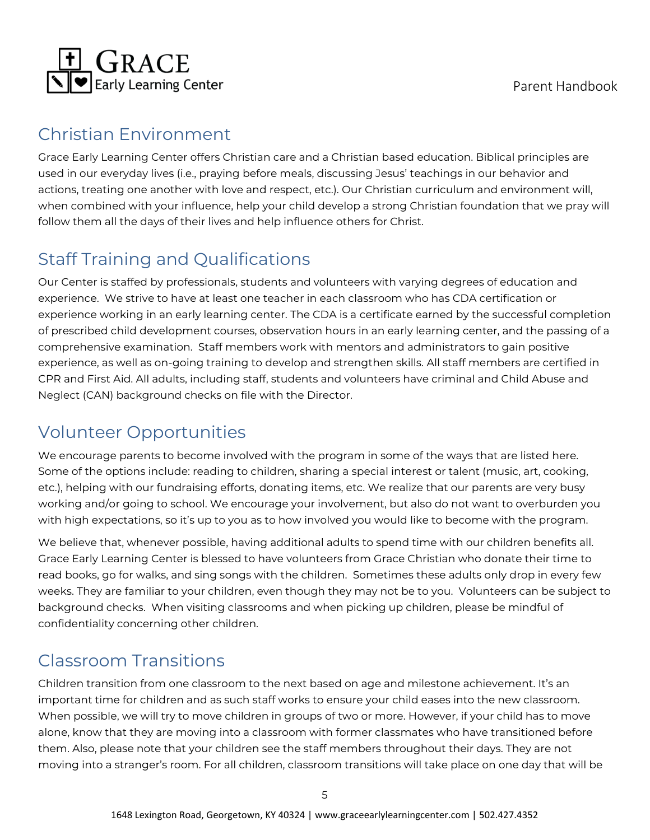

### <span id="page-6-0"></span>Christian Environment

Grace Early Learning Center offers Christian care and a Christian based education. Biblical principles are used in our everyday lives (i.e., praying before meals, discussing Jesus' teachings in our behavior and actions, treating one another with love and respect, etc.). Our Christian curriculum and environment will, when combined with your influence, help your child develop a strong Christian foundation that we pray will follow them all the days of their lives and help influence others for Christ.

# <span id="page-6-1"></span>Staff Training and Qualifications

Our Center is staffed by professionals, students and volunteers with varying degrees of education and experience. We strive to have at least one teacher in each classroom who has CDA certification or experience working in an early learning center. The CDA is a certificate earned by the successful completion of prescribed child development courses, observation hours in an early learning center, and the passing of a comprehensive examination. Staff members work with mentors and administrators to gain positive experience, as well as on-going training to develop and strengthen skills. All staff members are certified in CPR and First Aid. All adults, including staff, students and volunteers have criminal and Child Abuse and Neglect (CAN) background checks on file with the Director.

## <span id="page-6-2"></span>Volunteer Opportunities

We encourage parents to become involved with the program in some of the ways that are listed here. Some of the options include: reading to children, sharing a special interest or talent (music, art, cooking, etc.), helping with our fundraising efforts, donating items, etc. We realize that our parents are very busy working and/or going to school. We encourage your involvement, but also do not want to overburden you with high expectations, so it's up to you as to how involved you would like to become with the program.

We believe that, whenever possible, having additional adults to spend time with our children benefits all. Grace Early Learning Center is blessed to have volunteers from Grace Christian who donate their time to read books, go for walks, and sing songs with the children. Sometimes these adults only drop in every few weeks. They are familiar to your children, even though they may not be to you. Volunteers can be subject to background checks. When visiting classrooms and when picking up children, please be mindful of confidentiality concerning other children.

## <span id="page-6-3"></span>Classroom Transitions

Children transition from one classroom to the next based on age and milestone achievement. It's an important time for children and as such staff works to ensure your child eases into the new classroom. When possible, we will try to move children in groups of two or more. However, if your child has to move alone, know that they are moving into a classroom with former classmates who have transitioned before them. Also, please note that your children see the staff members throughout their days. They are not moving into a stranger's room. For all children, classroom transitions will take place on one day that will be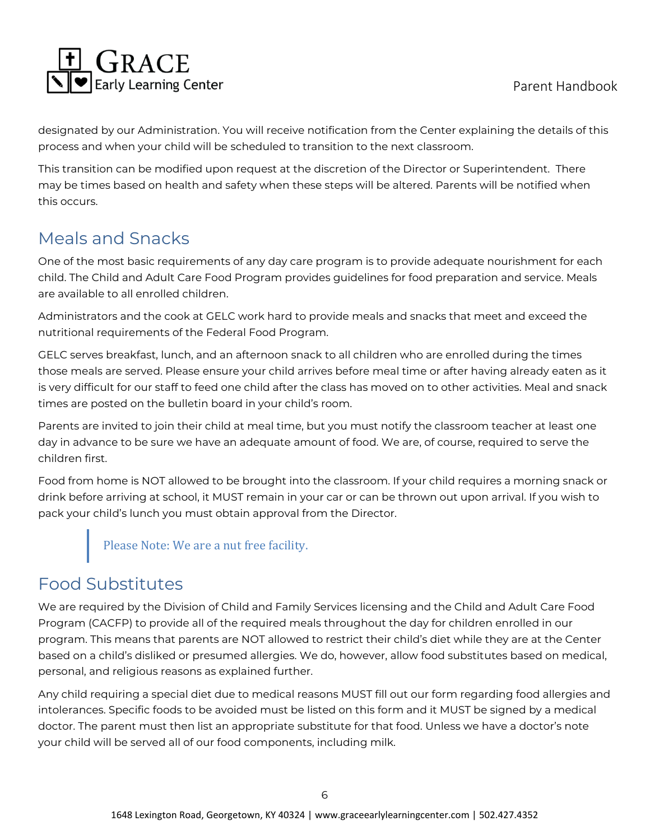

designated by our Administration. You will receive notification from the Center explaining the details of this process and when your child will be scheduled to transition to the next classroom.

This transition can be modified upon request at the discretion of the Director or Superintendent. There may be times based on health and safety when these steps will be altered. Parents will be notified when this occurs.

# <span id="page-7-0"></span>Meals and Snacks

One of the most basic requirements of any day care program is to provide adequate nourishment for each child. The Child and Adult Care Food Program provides guidelines for food preparation and service. Meals are available to all enrolled children.

Administrators and the cook at GELC work hard to provide meals and snacks that meet and exceed the nutritional requirements of the Federal Food Program.

GELC serves breakfast, lunch, and an afternoon snack to all children who are enrolled during the times those meals are served. Please ensure your child arrives before meal time or after having already eaten as it is very difficult for our staff to feed one child after the class has moved on to other activities. Meal and snack times are posted on the bulletin board in your child's room.

Parents are invited to join their child at meal time, but you must notify the classroom teacher at least one day in advance to be sure we have an adequate amount of food. We are, of course, required to serve the children first.

Food from home is NOT allowed to be brought into the classroom. If your child requires a morning snack or drink before arriving at school, it MUST remain in your car or can be thrown out upon arrival. If you wish to pack your child's lunch you must obtain approval from the Director.

Please Note: We are a nut free facility.

## <span id="page-7-1"></span>Food Substitutes

We are required by the Division of Child and Family Services licensing and the Child and Adult Care Food Program (CACFP) to provide all of the required meals throughout the day for children enrolled in our program. This means that parents are NOT allowed to restrict their child's diet while they are at the Center based on a child's disliked or presumed allergies. We do, however, allow food substitutes based on medical, personal, and religious reasons as explained further.

Any child requiring a special diet due to medical reasons MUST fill out our form regarding food allergies and intolerances. Specific foods to be avoided must be listed on this form and it MUST be signed by a medical doctor. The parent must then list an appropriate substitute for that food. Unless we have a doctor's note your child will be served all of our food components, including milk.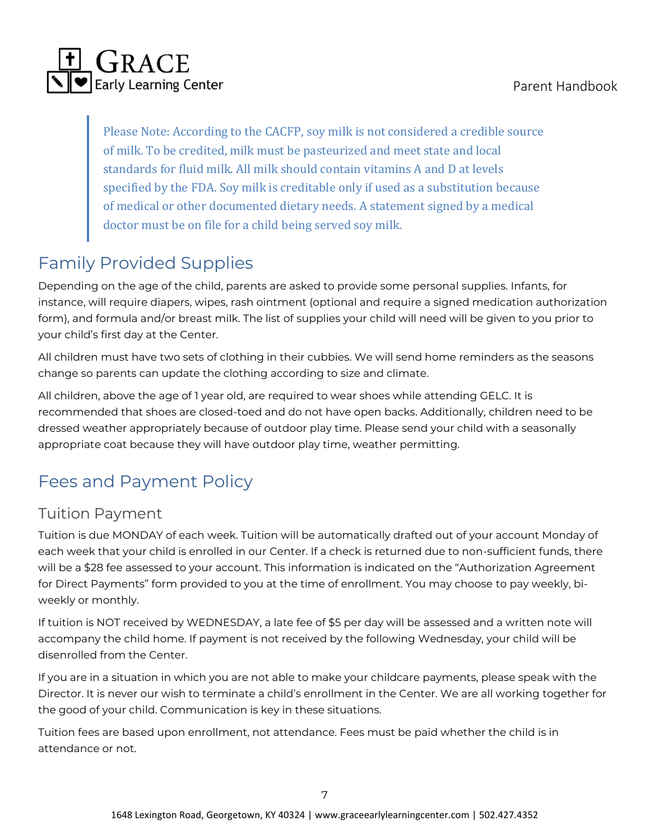

Please Note: According to the CACFP, soy milk is not considered a credible source of milk. To be credited, milk must be pasteurized and meet state and local standards for fluid milk. All milk should contain vitamins A and D at levels specified by the FDA. Soy milk is creditable only if used as a substitution because of medical or other documented dietary needs. A statement signed by a medical doctor must be on file for a child being served soy milk.

# <span id="page-8-0"></span>Family Provided Supplies

Depending on the age of the child, parents are asked to provide some personal supplies. Infants, for instance, will require diapers, wipes, rash ointment (optional and require a signed medication authorization form), and formula and/or breast milk. The list of supplies your child will need will be given to you prior to your child's first day at the Center.

All children must have two sets of clothing in their cubbies. We will send home reminders as the seasons change so parents can update the clothing according to size and climate.

All children, above the age of 1 year old, are required to wear shoes while attending GELC. It is recommended that shoes are closed-toed and do not have open backs. Additionally, children need to be dressed weather appropriately because of outdoor play time. Please send your child with a seasonally appropriate coat because they will have outdoor play time, weather permitting.

# <span id="page-8-1"></span>Fees and Payment Policy

#### <span id="page-8-2"></span>Tuition Payment

Tuition is due MONDAY of each week. Tuition will be automatically drafted out of your account Monday of each week that your child is enrolled in our Center. If a check is returned due to non-sufficient funds, there will be a \$28 fee assessed to your account. This information is indicated on the "Authorization Agreement for Direct Payments" form provided to you at the time of enrollment. You may choose to pay weekly, biweekly or monthly.

If tuition is NOT received by WEDNESDAY, a late fee of \$5 per day will be assessed and a written note will accompany the child home. If payment is not received by the following Wednesday, your child will be disenrolled from the Center.

If you are in a situation in which you are not able to make your childcare payments, please speak with the Director. It is never our wish to terminate a child's enrollment in the Center. We are all working together for the good of your child. Communication is key in these situations.

Tuition fees are based upon enrollment, not attendance. Fees must be paid whether the child is in attendance or not.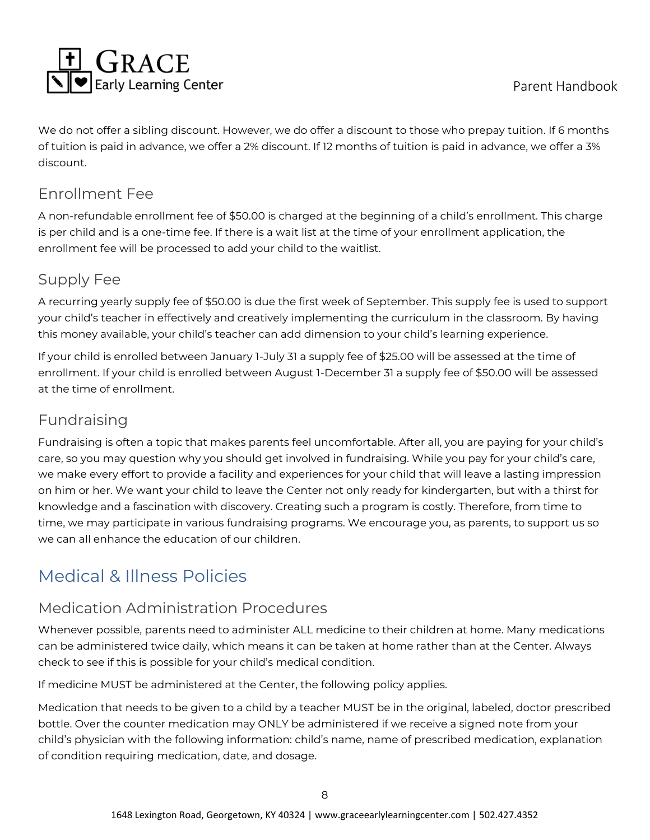

We do not offer a sibling discount. However, we do offer a discount to those who prepay tuition. If 6 months of tuition is paid in advance, we offer a 2% discount. If 12 months of tuition is paid in advance, we offer a 3% discount.

#### <span id="page-9-0"></span>Enrollment Fee

A non-refundable enrollment fee of \$50.00 is charged at the beginning of a child's enrollment. This charge is per child and is a one-time fee. If there is a wait list at the time of your enrollment application, the enrollment fee will be processed to add your child to the waitlist.

#### <span id="page-9-1"></span>Supply Fee

A recurring yearly supply fee of \$50.00 is due the first week of September. This supply fee is used to support your child's teacher in effectively and creatively implementing the curriculum in the classroom. By having this money available, your child's teacher can add dimension to your child's learning experience.

If your child is enrolled between January 1-July 31 a supply fee of \$25.00 will be assessed at the time of enrollment. If your child is enrolled between August 1-December 31 a supply fee of \$50.00 will be assessed at the time of enrollment.

#### <span id="page-9-2"></span>Fundraising

Fundraising is often a topic that makes parents feel uncomfortable. After all, you are paying for your child's care, so you may question why you should get involved in fundraising. While you pay for your child's care, we make every effort to provide a facility and experiences for your child that will leave a lasting impression on him or her. We want your child to leave the Center not only ready for kindergarten, but with a thirst for knowledge and a fascination with discovery. Creating such a program is costly. Therefore, from time to time, we may participate in various fundraising programs. We encourage you, as parents, to support us so we can all enhance the education of our children.

# <span id="page-9-3"></span>Medical & Illness Policies

#### <span id="page-9-4"></span>Medication Administration Procedures

Whenever possible, parents need to administer ALL medicine to their children at home. Many medications can be administered twice daily, which means it can be taken at home rather than at the Center. Always check to see if this is possible for your child's medical condition.

If medicine MUST be administered at the Center, the following policy applies.

Medication that needs to be given to a child by a teacher MUST be in the original, labeled, doctor prescribed bottle. Over the counter medication may ONLY be administered if we receive a signed note from your child's physician with the following information: child's name, name of prescribed medication, explanation of condition requiring medication, date, and dosage.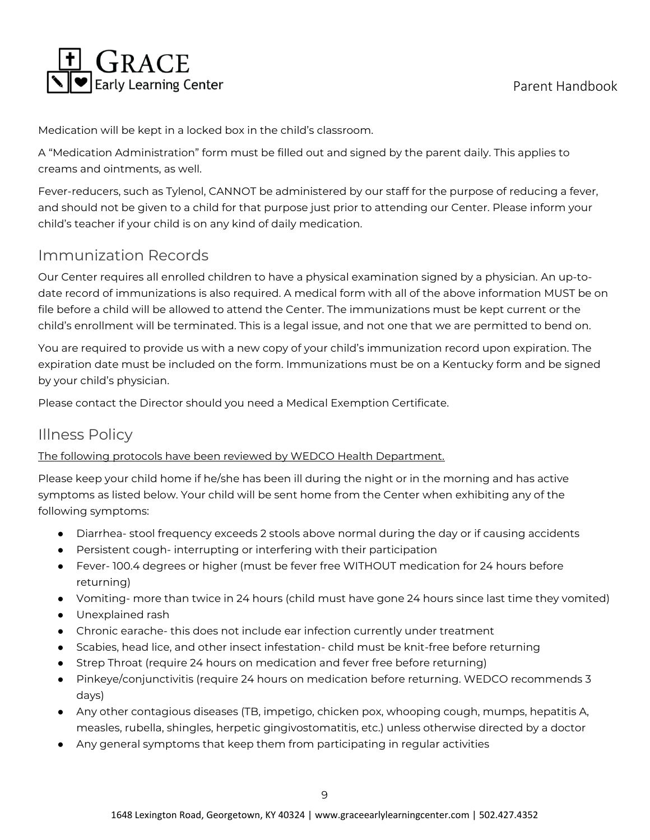

Medication will be kept in a locked box in the child's classroom.

A "Medication Administration" form must be filled out and signed by the parent daily. This applies to creams and ointments, as well.

Fever-reducers, such as Tylenol, CANNOT be administered by our staff for the purpose of reducing a fever, and should not be given to a child for that purpose just prior to attending our Center. Please inform your child's teacher if your child is on any kind of daily medication.

#### <span id="page-10-0"></span>Immunization Records

Our Center requires all enrolled children to have a physical examination signed by a physician. An up-todate record of immunizations is also required. A medical form with all of the above information MUST be on file before a child will be allowed to attend the Center. The immunizations must be kept current or the child's enrollment will be terminated. This is a legal issue, and not one that we are permitted to bend on.

You are required to provide us with a new copy of your child's immunization record upon expiration. The expiration date must be included on the form. Immunizations must be on a Kentucky form and be signed by your child's physician.

Please contact the Director should you need a Medical Exemption Certificate.

#### <span id="page-10-1"></span>Illness Policy

#### The following protocols have been reviewed by WEDCO Health Department.

Please keep your child home if he/she has been ill during the night or in the morning and has active symptoms as listed below. Your child will be sent home from the Center when exhibiting any of the following symptoms:

- Diarrhea- stool frequency exceeds 2 stools above normal during the day or if causing accidents
- Persistent cough- interrupting or interfering with their participation
- Fever- 100.4 degrees or higher (must be fever free WITHOUT medication for 24 hours before returning)
- Vomiting- more than twice in 24 hours (child must have gone 24 hours since last time they vomited)
- Unexplained rash
- Chronic earache- this does not include ear infection currently under treatment
- Scabies, head lice, and other insect infestation- child must be knit-free before returning
- Strep Throat (require 24 hours on medication and fever free before returning)
- Pinkeye/conjunctivitis (require 24 hours on medication before returning. WEDCO recommends 3 days)
- Any other contagious diseases (TB, impetigo, chicken pox, whooping cough, mumps, hepatitis A, measles, rubella, shingles, herpetic gingivostomatitis, etc.) unless otherwise directed by a doctor
- Any general symptoms that keep them from participating in regular activities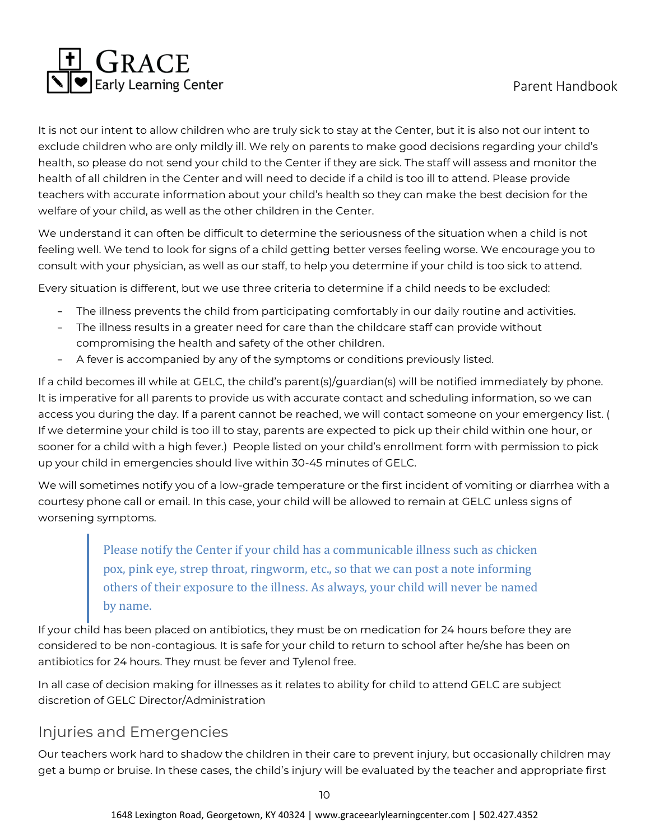

It is not our intent to allow children who are truly sick to stay at the Center, but it is also not our intent to exclude children who are only mildly ill. We rely on parents to make good decisions regarding your child's health, so please do not send your child to the Center if they are sick. The staff will assess and monitor the health of all children in the Center and will need to decide if a child is too ill to attend. Please provide teachers with accurate information about your child's health so they can make the best decision for the welfare of your child, as well as the other children in the Center.

We understand it can often be difficult to determine the seriousness of the situation when a child is not feeling well. We tend to look for signs of a child getting better verses feeling worse. We encourage you to consult with your physician, as well as our staff, to help you determine if your child is too sick to attend.

Every situation is different, but we use three criteria to determine if a child needs to be excluded:

- − The illness prevents the child from participating comfortably in our daily routine and activities.
- − The illness results in a greater need for care than the childcare staff can provide without compromising the health and safety of the other children.
- − A fever is accompanied by any of the symptoms or conditions previously listed.

If a child becomes ill while at GELC, the child's parent(s)/guardian(s) will be notified immediately by phone. It is imperative for all parents to provide us with accurate contact and scheduling information, so we can access you during the day. If a parent cannot be reached, we will contact someone on your emergency list. ( If we determine your child is too ill to stay, parents are expected to pick up their child within one hour, or sooner for a child with a high fever.) People listed on your child's enrollment form with permission to pick up your child in emergencies should live within 30-45 minutes of GELC.

We will sometimes notify you of a low-grade temperature or the first incident of vomiting or diarrhea with a courtesy phone call or email. In this case, your child will be allowed to remain at GELC unless signs of worsening symptoms.

> Please notify the Center if your child has a communicable illness such as chicken pox, pink eye, strep throat, ringworm, etc., so that we can post a note informing others of their exposure to the illness. As always, your child will never be named by name.

If your child has been placed on antibiotics, they must be on medication for 24 hours before they are considered to be non-contagious. It is safe for your child to return to school after he/she has been on antibiotics for 24 hours. They must be fever and Tylenol free.

In all case of decision making for illnesses as it relates to ability for child to attend GELC are subject discretion of GELC Director/Administration

#### <span id="page-11-0"></span>Injuries and Emergencies

Our teachers work hard to shadow the children in their care to prevent injury, but occasionally children may get a bump or bruise. In these cases, the child's injury will be evaluated by the teacher and appropriate first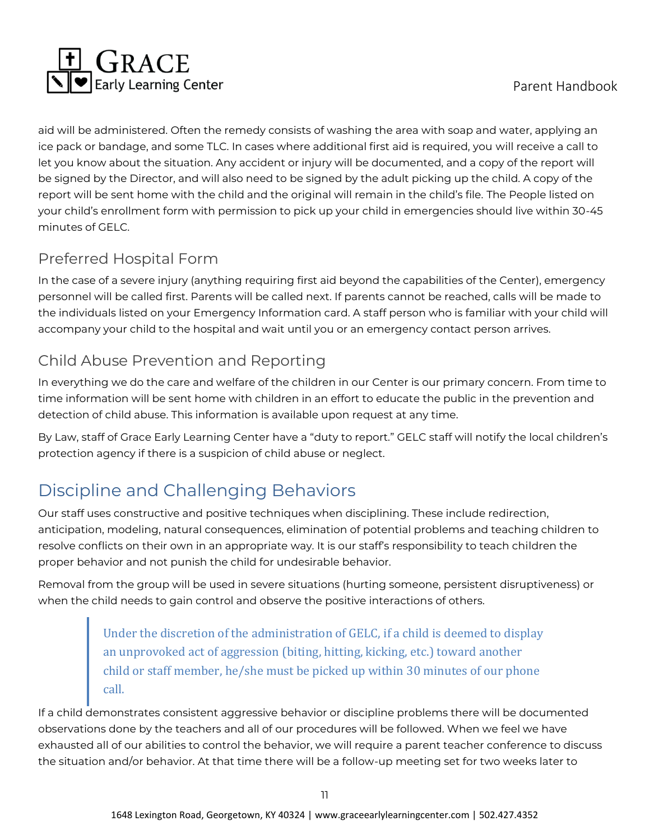

aid will be administered. Often the remedy consists of washing the area with soap and water, applying an ice pack or bandage, and some TLC. In cases where additional first aid is required, you will receive a call to let you know about the situation. Any accident or injury will be documented, and a copy of the report will be signed by the Director, and will also need to be signed by the adult picking up the child. A copy of the report will be sent home with the child and the original will remain in the child's file. The People listed on your child's enrollment form with permission to pick up your child in emergencies should live within 30-45 minutes of GELC.

#### <span id="page-12-0"></span>Preferred Hospital Form

In the case of a severe injury (anything requiring first aid beyond the capabilities of the Center), emergency personnel will be called first. Parents will be called next. If parents cannot be reached, calls will be made to the individuals listed on your Emergency Information card. A staff person who is familiar with your child will accompany your child to the hospital and wait until you or an emergency contact person arrives.

## <span id="page-12-1"></span>Child Abuse Prevention and Reporting

In everything we do the care and welfare of the children in our Center is our primary concern. From time to time information will be sent home with children in an effort to educate the public in the prevention and detection of child abuse. This information is available upon request at any time.

By Law, staff of Grace Early Learning Center have a "duty to report." GELC staff will notify the local children's protection agency if there is a suspicion of child abuse or neglect.

# <span id="page-12-2"></span>Discipline and Challenging Behaviors

Our staff uses constructive and positive techniques when disciplining. These include redirection, anticipation, modeling, natural consequences, elimination of potential problems and teaching children to resolve conflicts on their own in an appropriate way. It is our staff's responsibility to teach children the proper behavior and not punish the child for undesirable behavior.

Removal from the group will be used in severe situations (hurting someone, persistent disruptiveness) or when the child needs to gain control and observe the positive interactions of others.

> Under the discretion of the administration of GELC, if a child is deemed to display an unprovoked act of aggression (biting, hitting, kicking, etc.) toward another child or staff member, he/she must be picked up within 30 minutes of our phone call.

If a child demonstrates consistent aggressive behavior or discipline problems there will be documented observations done by the teachers and all of our procedures will be followed. When we feel we have exhausted all of our abilities to control the behavior, we will require a parent teacher conference to discuss the situation and/or behavior. At that time there will be a follow-up meeting set for two weeks later to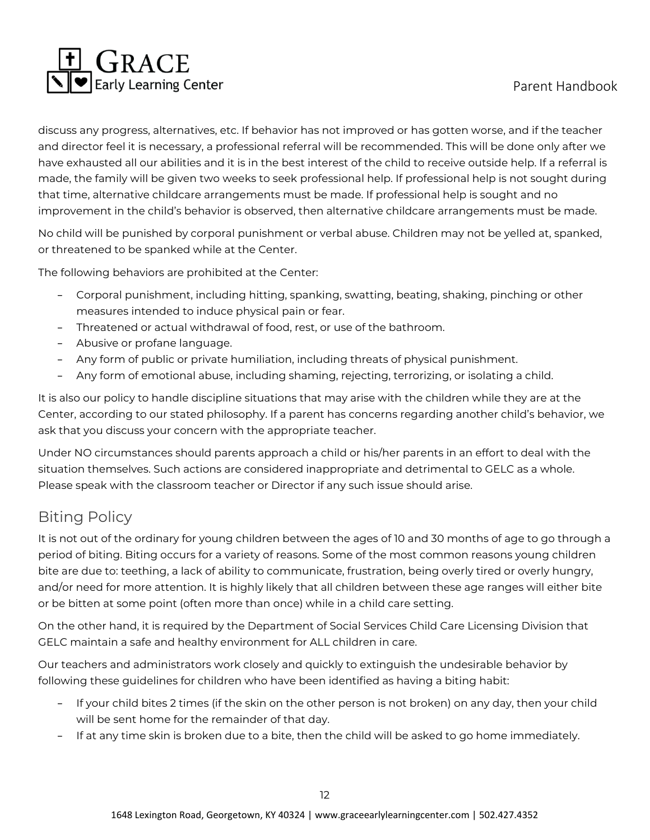

discuss any progress, alternatives, etc. If behavior has not improved or has gotten worse, and if the teacher and director feel it is necessary, a professional referral will be recommended. This will be done only after we have exhausted all our abilities and it is in the best interest of the child to receive outside help. If a referral is made, the family will be given two weeks to seek professional help. If professional help is not sought during that time, alternative childcare arrangements must be made. If professional help is sought and no improvement in the child's behavior is observed, then alternative childcare arrangements must be made.

No child will be punished by corporal punishment or verbal abuse. Children may not be yelled at, spanked, or threatened to be spanked while at the Center.

The following behaviors are prohibited at the Center:

- − Corporal punishment, including hitting, spanking, swatting, beating, shaking, pinching or other measures intended to induce physical pain or fear.
- − Threatened or actual withdrawal of food, rest, or use of the bathroom.
- − Abusive or profane language.
- − Any form of public or private humiliation, including threats of physical punishment.
- − Any form of emotional abuse, including shaming, rejecting, terrorizing, or isolating a child.

It is also our policy to handle discipline situations that may arise with the children while they are at the Center, according to our stated philosophy. If a parent has concerns regarding another child's behavior, we ask that you discuss your concern with the appropriate teacher.

Under NO circumstances should parents approach a child or his/her parents in an effort to deal with the situation themselves. Such actions are considered inappropriate and detrimental to GELC as a whole. Please speak with the classroom teacher or Director if any such issue should arise.

#### <span id="page-13-0"></span>Biting Policy

It is not out of the ordinary for young children between the ages of 10 and 30 months of age to go through a period of biting. Biting occurs for a variety of reasons. Some of the most common reasons young children bite are due to: teething, a lack of ability to communicate, frustration, being overly tired or overly hungry, and/or need for more attention. It is highly likely that all children between these age ranges will either bite or be bitten at some point (often more than once) while in a child care setting.

On the other hand, it is required by the Department of Social Services Child Care Licensing Division that GELC maintain a safe and healthy environment for ALL children in care.

Our teachers and administrators work closely and quickly to extinguish the undesirable behavior by following these guidelines for children who have been identified as having a biting habit:

- − If your child bites 2 times (if the skin on the other person is not broken) on any day, then your child will be sent home for the remainder of that day.
- − If at any time skin is broken due to a bite, then the child will be asked to go home immediately.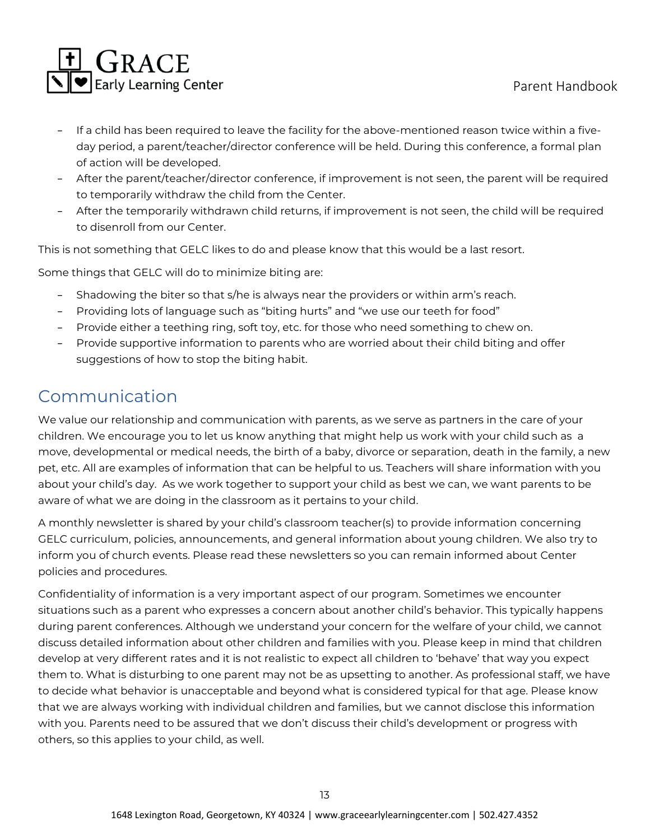

- − If a child has been required to leave the facility for the above-mentioned reason twice within a fiveday period, a parent/teacher/director conference will be held. During this conference, a formal plan of action will be developed.
- − After the parent/teacher/director conference, if improvement is not seen, the parent will be required to temporarily withdraw the child from the Center.
- − After the temporarily withdrawn child returns, if improvement is not seen, the child will be required to disenroll from our Center.

This is not something that GELC likes to do and please know that this would be a last resort.

Some things that GELC will do to minimize biting are:

- Shadowing the biter so that s/he is always near the providers or within arm's reach.
- − Providing lots of language such as "biting hurts" and "we use our teeth for food"
- − Provide either a teething ring, soft toy, etc. for those who need something to chew on.
- − Provide supportive information to parents who are worried about their child biting and offer suggestions of how to stop the biting habit.

#### <span id="page-14-0"></span>Communication

We value our relationship and communication with parents, as we serve as partners in the care of your children. We encourage you to let us know anything that might help us work with your child such as a move, developmental or medical needs, the birth of a baby, divorce or separation, death in the family, a new pet, etc. All are examples of information that can be helpful to us. Teachers will share information with you about your child's day. As we work together to support your child as best we can, we want parents to be aware of what we are doing in the classroom as it pertains to your child.

A monthly newsletter is shared by your child's classroom teacher(s) to provide information concerning GELC curriculum, policies, announcements, and general information about young children. We also try to inform you of church events. Please read these newsletters so you can remain informed about Center policies and procedures.

Confidentiality of information is a very important aspect of our program. Sometimes we encounter situations such as a parent who expresses a concern about another child's behavior. This typically happens during parent conferences. Although we understand your concern for the welfare of your child, we cannot discuss detailed information about other children and families with you. Please keep in mind that children develop at very different rates and it is not realistic to expect all children to 'behave' that way you expect them to. What is disturbing to one parent may not be as upsetting to another. As professional staff, we have to decide what behavior is unacceptable and beyond what is considered typical for that age. Please know that we are always working with individual children and families, but we cannot disclose this information with you. Parents need to be assured that we don't discuss their child's development or progress with others, so this applies to your child, as well.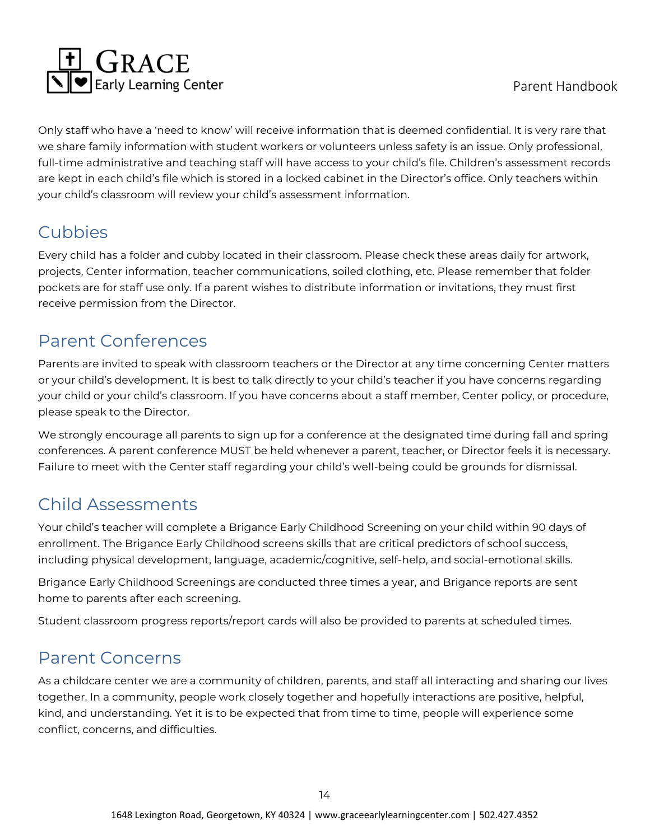

Only staff who have a 'need to know' will receive information that is deemed confidential. It is very rare that we share family information with student workers or volunteers unless safety is an issue. Only professional, full-time administrative and teaching staff will have access to your child's file. Children's assessment records are kept in each child's file which is stored in a locked cabinet in the Director's office. Only teachers within your child's classroom will review your child's assessment information.

# <span id="page-15-0"></span>Cubbies

Every child has a folder and cubby located in their classroom. Please check these areas daily for artwork, projects, Center information, teacher communications, soiled clothing, etc. Please remember that folder pockets are for staff use only. If a parent wishes to distribute information or invitations, they must first receive permission from the Director.

# <span id="page-15-1"></span>Parent Conferences

Parents are invited to speak with classroom teachers or the Director at any time concerning Center matters or your child's development. It is best to talk directly to your child's teacher if you have concerns regarding your child or your child's classroom. If you have concerns about a staff member, Center policy, or procedure, please speak to the Director.

We strongly encourage all parents to sign up for a conference at the designated time during fall and spring conferences. A parent conference MUST be held whenever a parent, teacher, or Director feels it is necessary. Failure to meet with the Center staff regarding your child's well-being could be grounds for dismissal.

# <span id="page-15-2"></span>Child Assessments

Your child's teacher will complete a Brigance Early Childhood Screening on your child within 90 days of enrollment. The Brigance Early Childhood screens skills that are critical predictors of school success, including physical development, language, academic/cognitive, self-help, and social-emotional skills.

Brigance Early Childhood Screenings are conducted three times a year, and Brigance reports are sent home to parents after each screening.

Student classroom progress reports/report cards will also be provided to parents at scheduled times.

### <span id="page-15-3"></span>Parent Concerns

As a childcare center we are a community of children, parents, and staff all interacting and sharing our lives together. In a community, people work closely together and hopefully interactions are positive, helpful, kind, and understanding. Yet it is to be expected that from time to time, people will experience some conflict, concerns, and difficulties.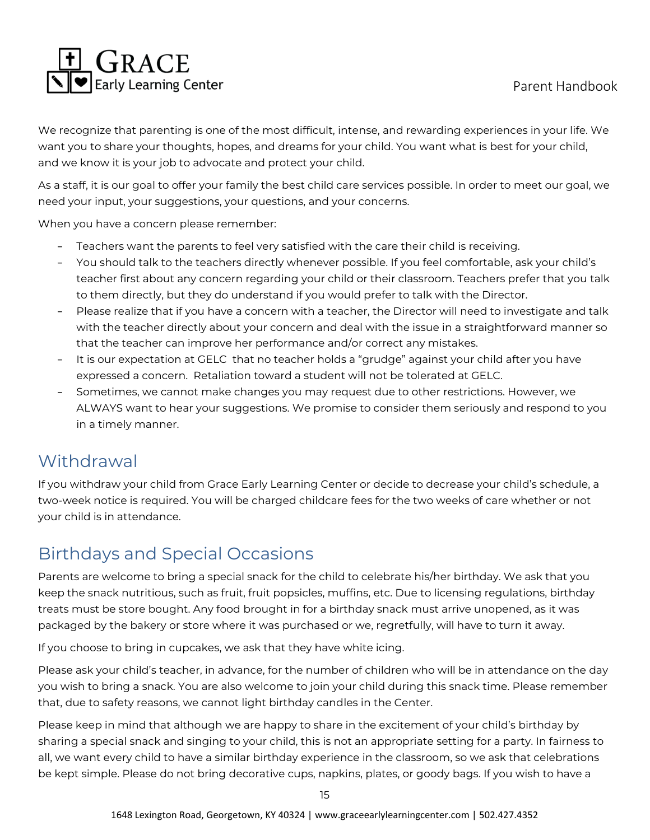

We recognize that parenting is one of the most difficult, intense, and rewarding experiences in your life. We want you to share your thoughts, hopes, and dreams for your child. You want what is best for your child, and we know it is your job to advocate and protect your child.

As a staff, it is our goal to offer your family the best child care services possible. In order to meet our goal, we need your input, your suggestions, your questions, and your concerns.

When you have a concern please remember:

- Teachers want the parents to feel very satisfied with the care their child is receiving.
- − You should talk to the teachers directly whenever possible. If you feel comfortable, ask your child's teacher first about any concern regarding your child or their classroom. Teachers prefer that you talk to them directly, but they do understand if you would prefer to talk with the Director.
- Please realize that if you have a concern with a teacher, the Director will need to investigate and talk with the teacher directly about your concern and deal with the issue in a straightforward manner so that the teacher can improve her performance and/or correct any mistakes.
- − It is our expectation at GELC that no teacher holds a "grudge" against your child after you have expressed a concern. Retaliation toward a student will not be tolerated at GELC.
- − Sometimes, we cannot make changes you may request due to other restrictions. However, we ALWAYS want to hear your suggestions. We promise to consider them seriously and respond to you in a timely manner.

# <span id="page-16-0"></span>**Withdrawal**

If you withdraw your child from Grace Early Learning Center or decide to decrease your child's schedule, a two-week notice is required. You will be charged childcare fees for the two weeks of care whether or not your child is in attendance.

# <span id="page-16-1"></span>Birthdays and Special Occasions

Parents are welcome to bring a special snack for the child to celebrate his/her birthday. We ask that you keep the snack nutritious, such as fruit, fruit popsicles, muffins, etc. Due to licensing regulations, birthday treats must be store bought. Any food brought in for a birthday snack must arrive unopened, as it was packaged by the bakery or store where it was purchased or we, regretfully, will have to turn it away.

If you choose to bring in cupcakes, we ask that they have white icing.

Please ask your child's teacher, in advance, for the number of children who will be in attendance on the day you wish to bring a snack. You are also welcome to join your child during this snack time. Please remember that, due to safety reasons, we cannot light birthday candles in the Center.

Please keep in mind that although we are happy to share in the excitement of your child's birthday by sharing a special snack and singing to your child, this is not an appropriate setting for a party. In fairness to all, we want every child to have a similar birthday experience in the classroom, so we ask that celebrations be kept simple. Please do not bring decorative cups, napkins, plates, or goody bags. If you wish to have a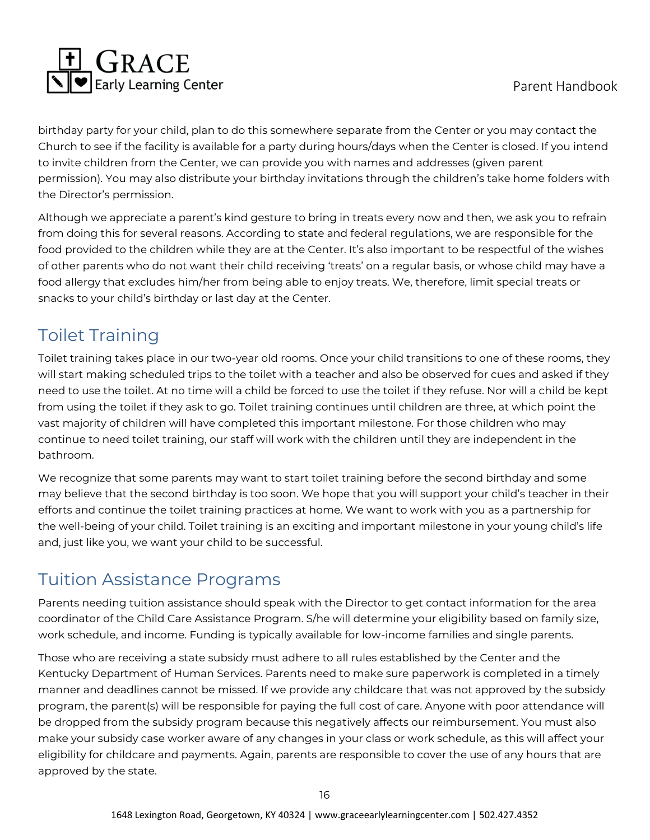

birthday party for your child, plan to do this somewhere separate from the Center or you may contact the Church to see if the facility is available for a party during hours/days when the Center is closed. If you intend to invite children from the Center, we can provide you with names and addresses (given parent permission). You may also distribute your birthday invitations through the children's take home folders with the Director's permission.

Although we appreciate a parent's kind gesture to bring in treats every now and then, we ask you to refrain from doing this for several reasons. According to state and federal regulations, we are responsible for the food provided to the children while they are at the Center. It's also important to be respectful of the wishes of other parents who do not want their child receiving 'treats' on a regular basis, or whose child may have a food allergy that excludes him/her from being able to enjoy treats. We, therefore, limit special treats or snacks to your child's birthday or last day at the Center.

# <span id="page-17-0"></span>Toilet Training

Toilet training takes place in our two-year old rooms. Once your child transitions to one of these rooms, they will start making scheduled trips to the toilet with a teacher and also be observed for cues and asked if they need to use the toilet. At no time will a child be forced to use the toilet if they refuse. Nor will a child be kept from using the toilet if they ask to go. Toilet training continues until children are three, at which point the vast majority of children will have completed this important milestone. For those children who may continue to need toilet training, our staff will work with the children until they are independent in the bathroom.

We recognize that some parents may want to start toilet training before the second birthday and some may believe that the second birthday is too soon. We hope that you will support your child's teacher in their efforts and continue the toilet training practices at home. We want to work with you as a partnership for the well-being of your child. Toilet training is an exciting and important milestone in your young child's life and, just like you, we want your child to be successful.

## <span id="page-17-1"></span>Tuition Assistance Programs

Parents needing tuition assistance should speak with the Director to get contact information for the area coordinator of the Child Care Assistance Program. S/he will determine your eligibility based on family size, work schedule, and income. Funding is typically available for low-income families and single parents.

Those who are receiving a state subsidy must adhere to all rules established by the Center and the Kentucky Department of Human Services. Parents need to make sure paperwork is completed in a timely manner and deadlines cannot be missed. If we provide any childcare that was not approved by the subsidy program, the parent(s) will be responsible for paying the full cost of care. Anyone with poor attendance will be dropped from the subsidy program because this negatively affects our reimbursement. You must also make your subsidy case worker aware of any changes in your class or work schedule, as this will affect your eligibility for childcare and payments. Again, parents are responsible to cover the use of any hours that are approved by the state.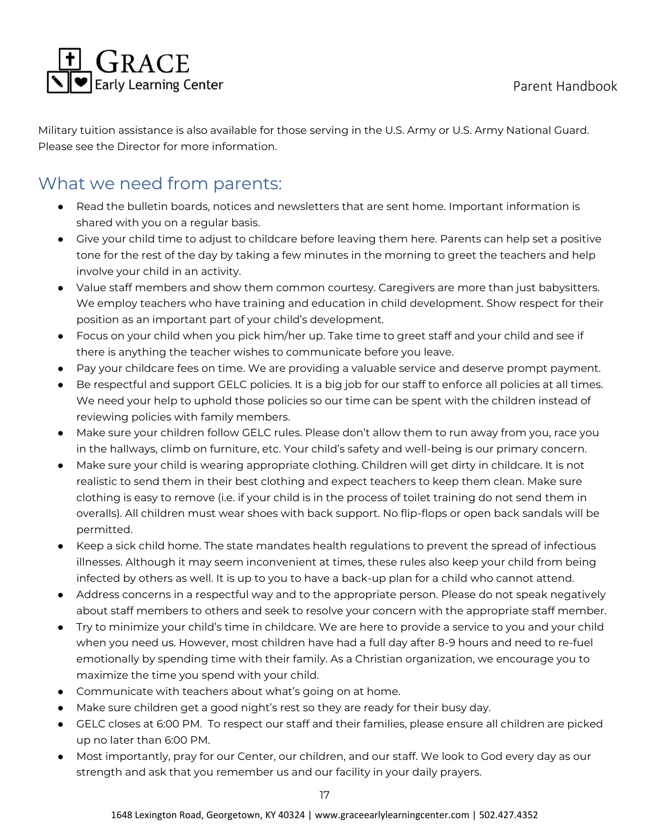

Military tuition assistance is also available for those serving in the U.S. Army or U.S. Army National Guard. Please see the Director for more information.

## <span id="page-18-0"></span>What we need from parents:

- Read the bulletin boards, notices and newsletters that are sent home. Important information is shared with you on a regular basis.
- Give your child time to adjust to childcare before leaving them here. Parents can help set a positive tone for the rest of the day by taking a few minutes in the morning to greet the teachers and help involve your child in an activity.
- Value staff members and show them common courtesy. Caregivers are more than just babysitters. We employ teachers who have training and education in child development. Show respect for their position as an important part of your child's development.
- Focus on your child when you pick him/her up. Take time to greet staff and your child and see if there is anything the teacher wishes to communicate before you leave.
- Pay your childcare fees on time. We are providing a valuable service and deserve prompt payment.
- Be respectful and support GELC policies. It is a big job for our staff to enforce all policies at all times. We need your help to uphold those policies so our time can be spent with the children instead of reviewing policies with family members.
- Make sure your children follow GELC rules. Please don't allow them to run away from you, race you in the hallways, climb on furniture, etc. Your child's safety and well-being is our primary concern.
- Make sure your child is wearing appropriate clothing. Children will get dirty in childcare. It is not realistic to send them in their best clothing and expect teachers to keep them clean. Make sure clothing is easy to remove (i.e. if your child is in the process of toilet training do not send them in overalls). All children must wear shoes with back support. No flip-flops or open back sandals will be permitted.
- Keep a sick child home. The state mandates health regulations to prevent the spread of infectious illnesses. Although it may seem inconvenient at times, these rules also keep your child from being infected by others as well. It is up to you to have a back-up plan for a child who cannot attend.
- Address concerns in a respectful way and to the appropriate person. Please do not speak negatively about staff members to others and seek to resolve your concern with the appropriate staff member.
- Try to minimize your child's time in childcare. We are here to provide a service to you and your child when you need us. However, most children have had a full day after 8-9 hours and need to re-fuel emotionally by spending time with their family. As a Christian organization, we encourage you to maximize the time you spend with your child.
- Communicate with teachers about what's going on at home.
- Make sure children get a good night's rest so they are ready for their busy day.
- GELC closes at 6:00 PM. To respect our staff and their families, please ensure all children are picked up no later than 6:00 PM.
- Most importantly, pray for our Center, our children, and our staff. We look to God every day as our strength and ask that you remember us and our facility in your daily prayers.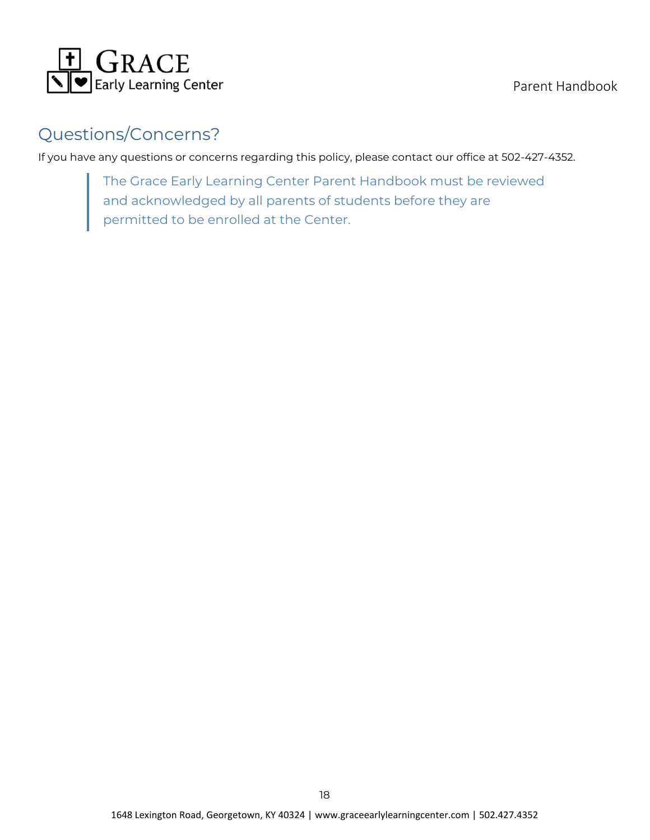

Parent Handbook

# <span id="page-19-0"></span>Questions/Concerns?

If you have any questions or concerns regarding this policy, please contact our office at 502-427-4352.

The Grace Early Learning Center Parent Handbook must be reviewed and acknowledged by all parents of students before they are permitted to be enrolled at the Center.